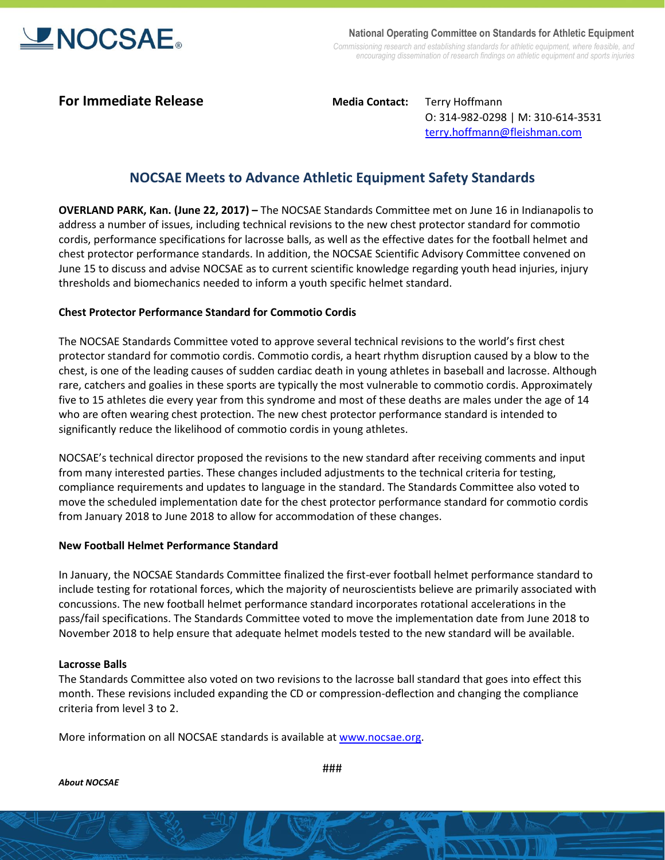

**National Operating Committee on Standards for Athletic Equipment** *Commissioning research and establishing standards for athletic equipment, where feasible, and encouraging dissemination of research findings on athletic equipment and sports injuries*

**For Immediate Release Media Contact:** Terry Hoffmann O: 314-982-0298 | M: 310-614-3531 [terry.hoffmann@fleishman.com](mailto:terry.hoffmann@fleishman.com)

# **NOCSAE Meets to Advance Athletic Equipment Safety Standards**

**OVERLAND PARK, Kan. (June 22, 2017) –** The NOCSAE Standards Committee met on June 16 in Indianapolis to address a number of issues, including technical revisions to the new chest protector standard for commotio cordis, performance specifications for lacrosse balls, as well as the effective dates for the football helmet and chest protector performance standards. In addition, the NOCSAE Scientific Advisory Committee convened on June 15 to discuss and advise NOCSAE as to current scientific knowledge regarding youth head injuries, injury thresholds and biomechanics needed to inform a youth specific helmet standard.

## **Chest Protector Performance Standard for Commotio Cordis**

The NOCSAE Standards Committee voted to approve several technical revisions to the world's first chest protector standard for commotio cordis. Commotio cordis, a heart rhythm disruption caused by a blow to the chest, is one of the leading causes of sudden cardiac death in young athletes in baseball and lacrosse. Although rare, catchers and goalies in these sports are typically the most vulnerable to commotio cordis. Approximately five to 15 athletes die every year from this syndrome and most of these deaths are males under the age of 14 who are often wearing chest protection. The new chest protector performance standard is intended to significantly reduce the likelihood of commotio cordis in young athletes.

NOCSAE's technical director proposed the revisions to the new standard after receiving comments and input from many interested parties. These changes included adjustments to the technical criteria for testing, compliance requirements and updates to language in the standard. The Standards Committee also voted to move the scheduled implementation date for the chest protector performance standard for commotio cordis from January 2018 to June 2018 to allow for accommodation of these changes.

### **New Football Helmet Performance Standard**

In January, the NOCSAE Standards Committee finalized the first-ever football helmet performance standard to include testing for rotational forces, which the majority of neuroscientists believe are primarily associated with concussions. The new football helmet performance standard incorporates rotational accelerations in the pass/fail specifications. The Standards Committee voted to move the implementation date from June 2018 to November 2018 to help ensure that adequate helmet models tested to the new standard will be available.

### **Lacrosse Balls**

The Standards Committee also voted on two revisions to the lacrosse ball standard that goes into effect this month. These revisions included expanding the CD or compression-deflection and changing the compliance criteria from level 3 to 2.

More information on all NOCSAE standards is available a[t www.nocsae.org.](http://www.nocsae.org/)

*About NOCSAE*

###